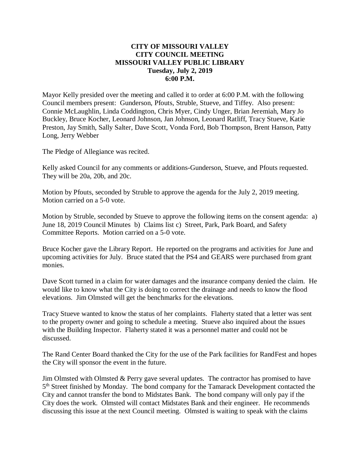### **CITY OF MISSOURI VALLEY CITY COUNCIL MEETING MISSOURI VALLEY PUBLIC LIBRARY Tuesday, July 2, 2019 6:00 P.M.**

Mayor Kelly presided over the meeting and called it to order at 6:00 P.M. with the following Council members present: Gunderson, Pfouts, Struble, Stueve, and Tiffey. Also present: Connie McLaughlin, Linda Coddington, Chris Myer, Cindy Unger, Brian Jeremiah, Mary Jo Buckley, Bruce Kocher, Leonard Johnson, Jan Johnson, Leonard Ratliff, Tracy Stueve, Katie Preston, Jay Smith, Sally Salter, Dave Scott, Vonda Ford, Bob Thompson, Brent Hanson, Patty Long, Jerry Webber

The Pledge of Allegiance was recited.

Kelly asked Council for any comments or additions-Gunderson, Stueve, and Pfouts requested. They will be 20a, 20b, and 20c.

Motion by Pfouts, seconded by Struble to approve the agenda for the July 2, 2019 meeting. Motion carried on a 5-0 vote.

Motion by Struble, seconded by Stueve to approve the following items on the consent agenda: a) June 18, 2019 Council Minutes b) Claims list c) Street, Park, Park Board, and Safety Committee Reports. Motion carried on a 5-0 vote.

Bruce Kocher gave the Library Report. He reported on the programs and activities for June and upcoming activities for July. Bruce stated that the PS4 and GEARS were purchased from grant monies.

Dave Scott turned in a claim for water damages and the insurance company denied the claim. He would like to know what the City is doing to correct the drainage and needs to know the flood elevations. Jim Olmsted will get the benchmarks for the elevations.

Tracy Stueve wanted to know the status of her complaints. Flaherty stated that a letter was sent to the property owner and going to schedule a meeting. Stueve also inquired about the issues with the Building Inspector. Flaherty stated it was a personnel matter and could not be discussed.

The Rand Center Board thanked the City for the use of the Park facilities for RandFest and hopes the City will sponsor the event in the future.

Jim Olmsted with Olmsted & Perry gave several updates. The contractor has promised to have 5<sup>th</sup> Street finished by Monday. The bond company for the Tamarack Development contacted the City and cannot transfer the bond to Midstates Bank. The bond company will only pay if the City does the work. Olmsted will contact Midstates Bank and their engineer. He recommends discussing this issue at the next Council meeting. Olmsted is waiting to speak with the claims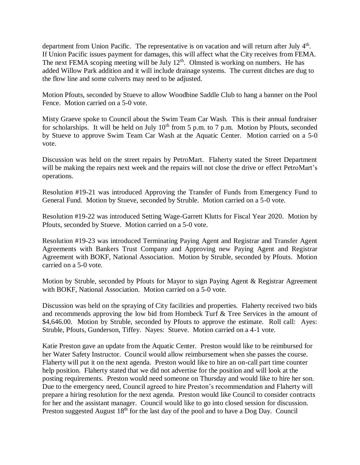department from Union Pacific. The representative is on vacation and will return after July  $4<sup>th</sup>$ . If Union Pacific issues payment for damages, this will affect what the City receives from FEMA. The next FEMA scoping meeting will be July 12<sup>th</sup>. Olmsted is working on numbers. He has added Willow Park addition and it will include drainage systems. The current ditches are dug to the flow line and some culverts may need to be adjusted.

Motion Pfouts, seconded by Stueve to allow Woodbine Saddle Club to hang a banner on the Pool Fence. Motion carried on a 5-0 vote.

Misty Graeve spoke to Council about the Swim Team Car Wash. This is their annual fundraiser for scholarships. It will be held on July  $10<sup>th</sup>$  from 5 p.m. to 7 p.m. Motion by Pfouts, seconded by Stueve to approve Swim Team Car Wash at the Aquatic Center. Motion carried on a 5-0 vote.

Discussion was held on the street repairs by PetroMart. Flaherty stated the Street Department will be making the repairs next week and the repairs will not close the drive or effect PetroMart's operations.

Resolution #19-21 was introduced Approving the Transfer of Funds from Emergency Fund to General Fund. Motion by Stueve, seconded by Struble. Motion carried on a 5-0 vote.

Resolution #19-22 was introduced Setting Wage-Garrett Klutts for Fiscal Year 2020. Motion by Pfouts, seconded by Stueve. Motion carried on a 5-0 vote.

Resolution #19-23 was introduced Terminating Paying Agent and Registrar and Transfer Agent Agreements with Bankers Trust Company and Approving new Paying Agent and Registrar Agreement with BOKF, National Association. Motion by Struble, seconded by Pfouts. Motion carried on a 5-0 vote.

Motion by Struble, seconded by Pfouts for Mayor to sign Paying Agent & Registrar Agreement with BOKF, National Association. Motion carried on a 5-0 vote.

Discussion was held on the spraying of City facilities and properties. Flaherty received two bids and recommends approving the low bid from Hornbeck Turf & Tree Services in the amount of \$4,646.00. Motion by Struble, seconded by Pfouts to approve the estimate. Roll call: Ayes: Struble, Pfouts, Gunderson, Tiffey. Nayes: Stueve. Motion carried on a 4-1 vote.

Katie Preston gave an update from the Aquatic Center. Preston would like to be reimbursed for her Water Safety Instructor. Council would allow reimbursement when she passes the course. Flaherty will put it on the next agenda. Preston would like to hire an on-call part time counter help position. Flaherty stated that we did not advertise for the position and will look at the posting requirements. Preston would need someone on Thursday and would like to hire her son. Due to the emergency need, Council agreed to hire Preston's recommendation and Flaherty will prepare a hiring resolution for the next agenda. Preston would like Council to consider contracts for her and the assistant manager. Council would like to go into closed session for discussion. Preston suggested August  $18<sup>th</sup>$  for the last day of the pool and to have a Dog Day. Council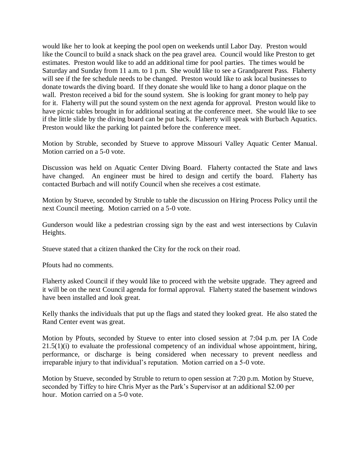would like her to look at keeping the pool open on weekends until Labor Day. Preston would like the Council to build a snack shack on the pea gravel area. Council would like Preston to get estimates. Preston would like to add an additional time for pool parties. The times would be Saturday and Sunday from 11 a.m. to 1 p.m. She would like to see a Grandparent Pass. Flaherty will see if the fee schedule needs to be changed. Preston would like to ask local businesses to donate towards the diving board. If they donate she would like to hang a donor plaque on the wall. Preston received a bid for the sound system. She is looking for grant money to help pay for it. Flaherty will put the sound system on the next agenda for approval. Preston would like to have picnic tables brought in for additional seating at the conference meet. She would like to see if the little slide by the diving board can be put back. Flaherty will speak with Burbach Aquatics. Preston would like the parking lot painted before the conference meet.

Motion by Struble, seconded by Stueve to approve Missouri Valley Aquatic Center Manual. Motion carried on a 5-0 vote.

Discussion was held on Aquatic Center Diving Board. Flaherty contacted the State and laws have changed. An engineer must be hired to design and certify the board. Flaherty has contacted Burbach and will notify Council when she receives a cost estimate.

Motion by Stueve, seconded by Struble to table the discussion on Hiring Process Policy until the next Council meeting. Motion carried on a 5-0 vote.

Gunderson would like a pedestrian crossing sign by the east and west intersections by Culavin Heights.

Stueve stated that a citizen thanked the City for the rock on their road.

Pfouts had no comments.

Flaherty asked Council if they would like to proceed with the website upgrade. They agreed and it will be on the next Council agenda for formal approval. Flaherty stated the basement windows have been installed and look great.

Kelly thanks the individuals that put up the flags and stated they looked great. He also stated the Rand Center event was great.

Motion by Pfouts, seconded by Stueve to enter into closed session at 7:04 p.m. per IA Code  $21.5(1)(i)$  to evaluate the professional competency of an individual whose appointment, hiring, performance, or discharge is being considered when necessary to prevent needless and irreparable injury to that individual's reputation. Motion carried on a 5-0 vote.

Motion by Stueve, seconded by Struble to return to open session at 7:20 p.m. Motion by Stueve, seconded by Tiffey to hire Chris Myer as the Park's Supervisor at an additional \$2.00 per hour. Motion carried on a 5-0 vote.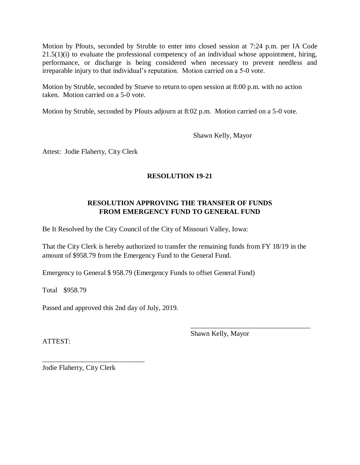Motion by Pfouts, seconded by Struble to enter into closed session at 7:24 p.m. per IA Code  $21.5(1)(i)$  to evaluate the professional competency of an individual whose appointment, hiring, performance, or discharge is being considered when necessary to prevent needless and irreparable injury to that individual's reputation. Motion carried on a 5-0 vote.

Motion by Struble, seconded by Stueve to return to open session at 8:00 p.m. with no action taken. Motion carried on a 5-0 vote.

Motion by Struble, seconded by Pfouts adjourn at 8:02 p.m. Motion carried on a 5-0 vote.

Shawn Kelly, Mayor

Attest: Jodie Flaherty, City Clerk

# **RESOLUTION 19-21**

## **RESOLUTION APPROVING THE TRANSFER OF FUNDS FROM EMERGENCY FUND TO GENERAL FUND**

Be It Resolved by the City Council of the City of Missouri Valley, Iowa:

That the City Clerk is hereby authorized to transfer the remaining funds from FY 18/19 in the amount of \$958.79 from the Emergency Fund to the General Fund.

Emergency to General \$ 958.79 (Emergency Funds to offset General Fund)

Total \$958.79

Passed and approved this 2nd day of July, 2019.

ATTEST:

Shawn Kelly, Mayor

\_\_\_\_\_\_\_\_\_\_\_\_\_\_\_\_\_\_\_\_\_\_\_\_\_\_\_\_\_\_\_\_\_\_

Jodie Flaherty, City Clerk

\_\_\_\_\_\_\_\_\_\_\_\_\_\_\_\_\_\_\_\_\_\_\_\_\_\_\_\_\_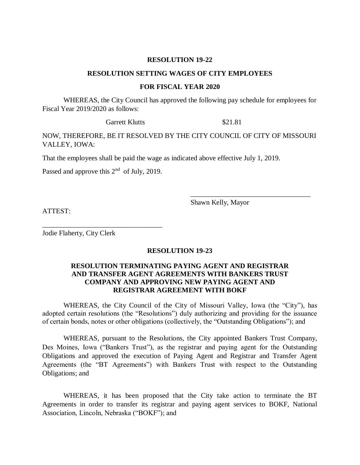#### **RESOLUTION 19-22**

#### **RESOLUTION SETTING WAGES OF CITY EMPLOYEES**

#### **FOR FISCAL YEAR 2020**

WHEREAS, the City Council has approved the following pay schedule for employees for Fiscal Year 2019/2020 as follows:

Garrett Klutts \$21.81

NOW, THEREFORE, BE IT RESOLVED BY THE CITY COUNCIL OF CITY OF MISSOURI VALLEY, IOWA:

That the employees shall be paid the wage as indicated above effective July 1, 2019.

Passed and approve this  $2<sup>nd</sup>$  of July, 2019.

\_\_\_\_\_\_\_\_\_\_\_\_\_\_\_\_\_\_\_\_\_\_\_\_\_\_\_\_\_\_\_\_\_\_

Shawn Kelly, Mayor

\_\_\_\_\_\_\_\_\_\_\_\_\_\_\_\_\_\_\_\_\_\_\_\_\_\_\_\_\_\_\_\_\_\_

ATTEST:

Jodie Flaherty, City Clerk

### **RESOLUTION 19-23**

## **RESOLUTION TERMINATING PAYING AGENT AND REGISTRAR AND TRANSFER AGENT AGREEMENTS WITH BANKERS TRUST COMPANY AND APPROVING NEW PAYING AGENT AND REGISTRAR AGREEMENT WITH BOKF**

WHEREAS, the City Council of the City of Missouri Valley, Iowa (the "City"), has adopted certain resolutions (the "Resolutions") duly authorizing and providing for the issuance of certain bonds, notes or other obligations (collectively, the "Outstanding Obligations"); and

WHEREAS, pursuant to the Resolutions, the City appointed Bankers Trust Company, Des Moines, Iowa ("Bankers Trust"), as the registrar and paying agent for the Outstanding Obligations and approved the execution of Paying Agent and Registrar and Transfer Agent Agreements (the "BT Agreements") with Bankers Trust with respect to the Outstanding Obligations; and

WHEREAS, it has been proposed that the City take action to terminate the BT Agreements in order to transfer its registrar and paying agent services to BOKF, National Association, Lincoln, Nebraska ("BOKF"); and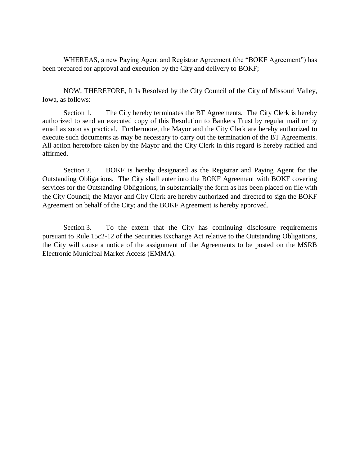WHEREAS, a new Paying Agent and Registrar Agreement (the "BOKF Agreement") has been prepared for approval and execution by the City and delivery to BOKF;

NOW, THEREFORE, It Is Resolved by the City Council of the City of Missouri Valley, Iowa, as follows:

Section 1. The City hereby terminates the BT Agreements. The City Clerk is hereby authorized to send an executed copy of this Resolution to Bankers Trust by regular mail or by email as soon as practical. Furthermore, the Mayor and the City Clerk are hereby authorized to execute such documents as may be necessary to carry out the termination of the BT Agreements. All action heretofore taken by the Mayor and the City Clerk in this regard is hereby ratified and affirmed.

Section 2. BOKF is hereby designated as the Registrar and Paying Agent for the Outstanding Obligations. The City shall enter into the BOKF Agreement with BOKF covering services for the Outstanding Obligations, in substantially the form as has been placed on file with the City Council; the Mayor and City Clerk are hereby authorized and directed to sign the BOKF Agreement on behalf of the City; and the BOKF Agreement is hereby approved.

Section 3. To the extent that the City has continuing disclosure requirements pursuant to Rule 15c2-12 of the Securities Exchange Act relative to the Outstanding Obligations, the City will cause a notice of the assignment of the Agreements to be posted on the MSRB Electronic Municipal Market Access (EMMA).